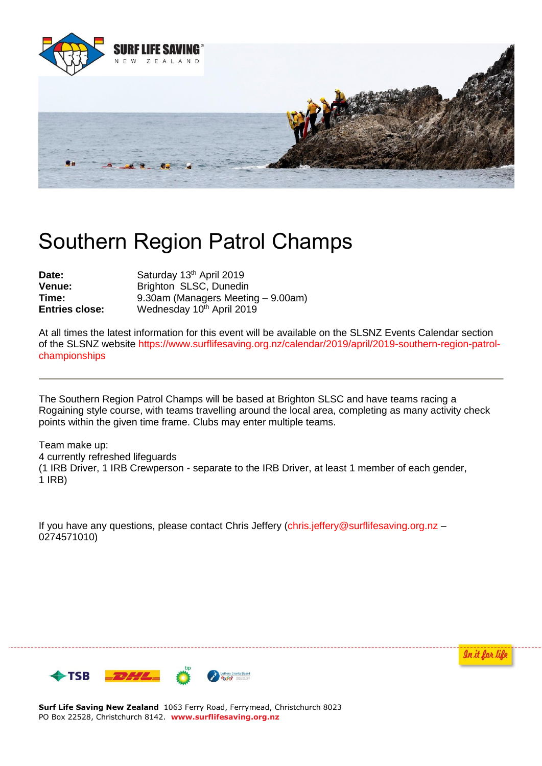

## Southern Region Patrol Champs

| Date:                 | Saturday 13th April 2019           |
|-----------------------|------------------------------------|
| Venue:                | Brighton SLSC, Dunedin             |
| Time:                 | 9.30am (Managers Meeting – 9.00am) |
| <b>Entries close:</b> | Wednesday 10th April 2019          |

At all times the latest information for this event will be available on the SLSNZ Events Calendar section of the SLSNZ website [https://www.surflifesaving.org.nz/calendar/2019/april/2019-southern-region-patrol](https://www.surflifesaving.org.nz/calendar/2019/april/2019-southern-region-patrol-championships)[championships](https://www.surflifesaving.org.nz/calendar/2019/april/2019-southern-region-patrol-championships)

The Southern Region Patrol Champs will be based at Brighton SLSC and have teams racing a Rogaining style course, with teams travelling around the local area, completing as many activity check points within the given time frame. Clubs may enter multiple teams.

Team make up: 4 currently refreshed lifeguards (1 IRB Driver, 1 IRB Crewperson - separate to the IRB Driver, at least 1 member of each gender, 1 IRB)

If you have any questions, please contact Chris Jeffery [\(chris.jeffery@surflifesaving.org.nz](mailto:chris.jeffery@surflifesaving.org.nz) -0274571010)

In it for life



**Surf Life Saving New Zealand** 1063 Ferry Road, Ferrymead, Christchurch 8023 PO Box 22528, Christchurch 8142. **www.surflifesaving.org.nz**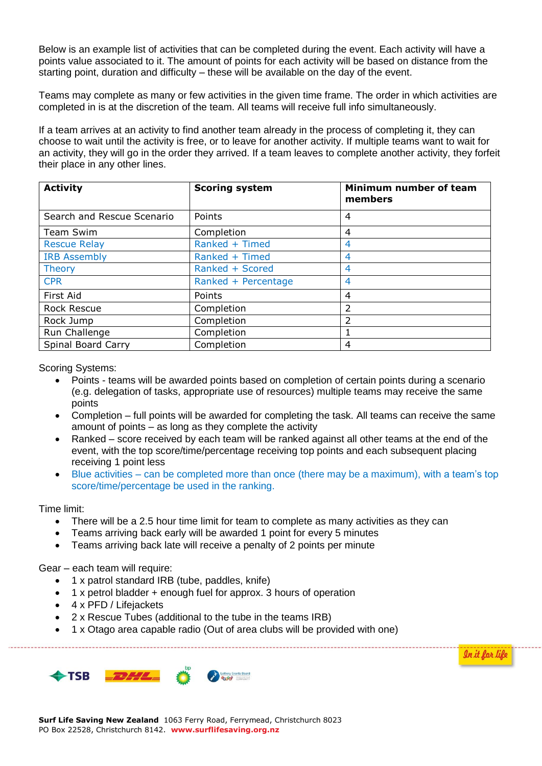Below is an example list of activities that can be completed during the event. Each activity will have a points value associated to it. The amount of points for each activity will be based on distance from the starting point, duration and difficulty – these will be available on the day of the event.

Teams may complete as many or few activities in the given time frame. The order in which activities are completed in is at the discretion of the team. All teams will receive full info simultaneously.

If a team arrives at an activity to find another team already in the process of completing it, they can choose to wait until the activity is free, or to leave for another activity. If multiple teams want to wait for an activity, they will go in the order they arrived. If a team leaves to complete another activity, they forfeit their place in any other lines.

| <b>Activity</b>            | <b>Scoring system</b> | Minimum number of team<br>members |
|----------------------------|-----------------------|-----------------------------------|
| Search and Rescue Scenario | Points                | 4                                 |
| <b>Team Swim</b>           | Completion            | $\overline{4}$                    |
| <b>Rescue Relay</b>        | Ranked + Timed        | 4                                 |
| <b>IRB Assembly</b>        | Ranked + Timed        | 4                                 |
| <b>Theory</b>              | Ranked + Scored       | 4                                 |
| <b>CPR</b>                 | Ranked + Percentage   | 4                                 |
| First Aid                  | Points                | 4                                 |
| <b>Rock Rescue</b>         | Completion            | 2                                 |
| Rock Jump                  | Completion            | 2                                 |
| Run Challenge              | Completion            |                                   |
| Spinal Board Carry         | Completion            | 4                                 |

Scoring Systems:

- Points teams will be awarded points based on completion of certain points during a scenario (e.g. delegation of tasks, appropriate use of resources) multiple teams may receive the same points
- Completion full points will be awarded for completing the task. All teams can receive the same amount of points – as long as they complete the activity
- Ranked score received by each team will be ranked against all other teams at the end of the event, with the top score/time/percentage receiving top points and each subsequent placing receiving 1 point less
- Blue activities can be completed more than once (there may be a maximum), with a team's top score/time/percentage be used in the ranking.

Time limit:

- There will be a 2.5 hour time limit for team to complete as many activities as they can
- Teams arriving back early will be awarded 1 point for every 5 minutes
- Teams arriving back late will receive a penalty of 2 points per minute

Gear – each team will require:

- 1 x patrol standard IRB (tube, paddles, knife)
- 1 x petrol bladder + enough fuel for approx. 3 hours of operation
- 4 x PFD / Lifejackets
- 2 x Rescue Tubes (additional to the tube in the teams IRB)
- 1 x Otago area capable radio (Out of area clubs will be provided with one)



In it for life